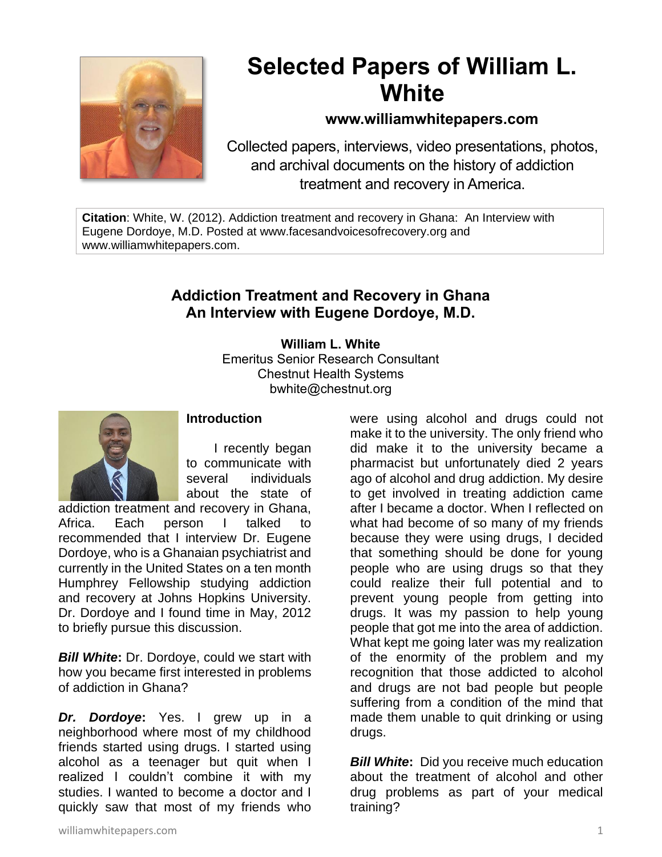

## **Selected Papers of William L. White**

## **www.williamwhitepapers.com**

Collected papers, interviews, video presentations, photos, and archival documents on the history of addiction treatment and recovery in America.

**Citation**: White, W. (2012). Addiction treatment and recovery in Ghana: An Interview with Eugene Dordoye, M.D. Posted at www.facesandvoicesofrecovery.org and www.williamwhitepapers.com.

## **Addiction Treatment and Recovery in Ghana An Interview with Eugene Dordoye, M.D.**

**William L. White** Emeritus Senior Research Consultant Chestnut Health Systems bwhite@chestnut.org



## **Introduction**

I recently began to communicate with several individuals about the state of

addiction treatment and recovery in Ghana, Africa. Each person I talked to recommended that I interview Dr. Eugene Dordoye, who is a Ghanaian psychiatrist and currently in the United States on a ten month Humphrey Fellowship studying addiction and recovery at Johns Hopkins University. Dr. Dordoye and I found time in May, 2012 to briefly pursue this discussion.

*Bill White***:** Dr. Dordoye, could we start with how you became first interested in problems of addiction in Ghana?

*Dr. Dordoye***:** Yes. I grew up in a neighborhood where most of my childhood friends started using drugs. I started using alcohol as a teenager but quit when I realized I couldn't combine it with my studies. I wanted to become a doctor and I quickly saw that most of my friends who

were using alcohol and drugs could not make it to the university. The only friend who did make it to the university became a pharmacist but unfortunately died 2 years ago of alcohol and drug addiction. My desire to get involved in treating addiction came after I became a doctor. When I reflected on what had become of so many of my friends because they were using drugs, I decided that something should be done for young people who are using drugs so that they could realize their full potential and to prevent young people from getting into drugs. It was my passion to help young people that got me into the area of addiction. What kept me going later was my realization of the enormity of the problem and my recognition that those addicted to alcohol and drugs are not bad people but people suffering from a condition of the mind that made them unable to quit drinking or using drugs.

**Bill White:** Did you receive much education about the treatment of alcohol and other drug problems as part of your medical training?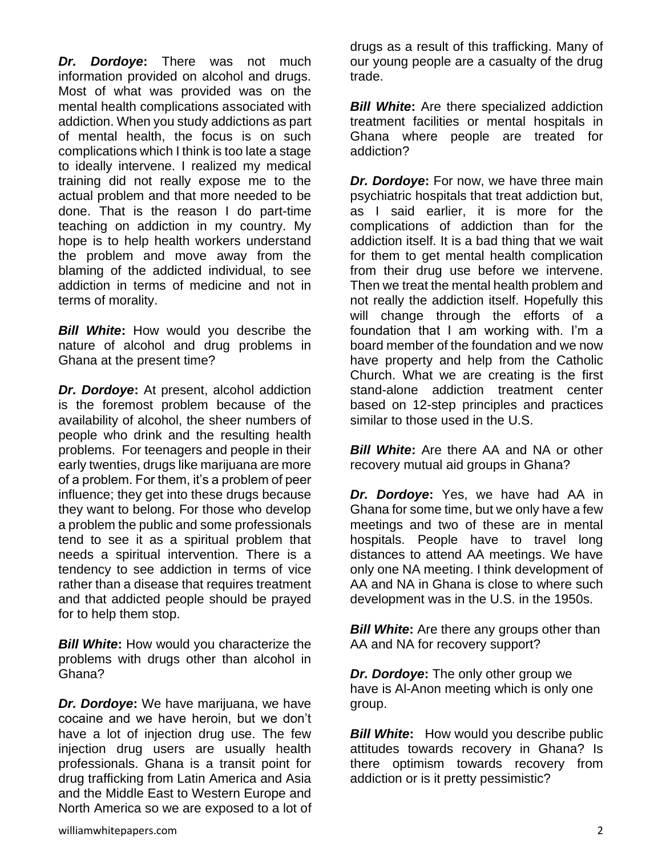*Dr. Dordoye***:** There was not much information provided on alcohol and drugs. Most of what was provided was on the mental health complications associated with addiction. When you study addictions as part of mental health, the focus is on such complications which I think is too late a stage to ideally intervene. I realized my medical training did not really expose me to the actual problem and that more needed to be done. That is the reason I do part-time teaching on addiction in my country. My hope is to help health workers understand the problem and move away from the blaming of the addicted individual, to see addiction in terms of medicine and not in terms of morality.

*Bill White***:** How would you describe the nature of alcohol and drug problems in Ghana at the present time?

*Dr. Dordoye***:** At present, alcohol addiction is the foremost problem because of the availability of alcohol, the sheer numbers of people who drink and the resulting health problems. For teenagers and people in their early twenties, drugs like marijuana are more of a problem. For them, it's a problem of peer influence; they get into these drugs because they want to belong. For those who develop a problem the public and some professionals tend to see it as a spiritual problem that needs a spiritual intervention. There is a tendency to see addiction in terms of vice rather than a disease that requires treatment and that addicted people should be prayed for to help them stop.

*Bill White***:** How would you characterize the problems with drugs other than alcohol in Ghana?

*Dr. Dordoye***:** We have marijuana, we have cocaine and we have heroin, but we don't have a lot of injection drug use. The few injection drug users are usually health professionals. Ghana is a transit point for drug trafficking from Latin America and Asia and the Middle East to Western Europe and North America so we are exposed to a lot of drugs as a result of this trafficking. Many of our young people are a casualty of the drug trade.

*Bill White***:** Are there specialized addiction treatment facilities or mental hospitals in Ghana where people are treated for addiction?

*Dr. Dordoye***:** For now, we have three main psychiatric hospitals that treat addiction but, as I said earlier, it is more for the complications of addiction than for the addiction itself. It is a bad thing that we wait for them to get mental health complication from their drug use before we intervene. Then we treat the mental health problem and not really the addiction itself. Hopefully this will change through the efforts of a foundation that I am working with. I'm a board member of the foundation and we now have property and help from the Catholic Church. What we are creating is the first stand-alone addiction treatment center based on 12-step principles and practices similar to those used in the U.S.

*Bill White*: Are there AA and NA or other recovery mutual aid groups in Ghana?

*Dr. Dordoye***:** Yes, we have had AA in Ghana for some time, but we only have a few meetings and two of these are in mental hospitals. People have to travel long distances to attend AA meetings. We have only one NA meeting. I think development of AA and NA in Ghana is close to where such development was in the U.S. in the 1950s.

*Bill White:* Are there any groups other than AA and NA for recovery support?

*Dr. Dordoye:* The only other group we have is Al-Anon meeting which is only one group.

*Bill White*: How would you describe public attitudes towards recovery in Ghana? Is there optimism towards recovery from addiction or is it pretty pessimistic?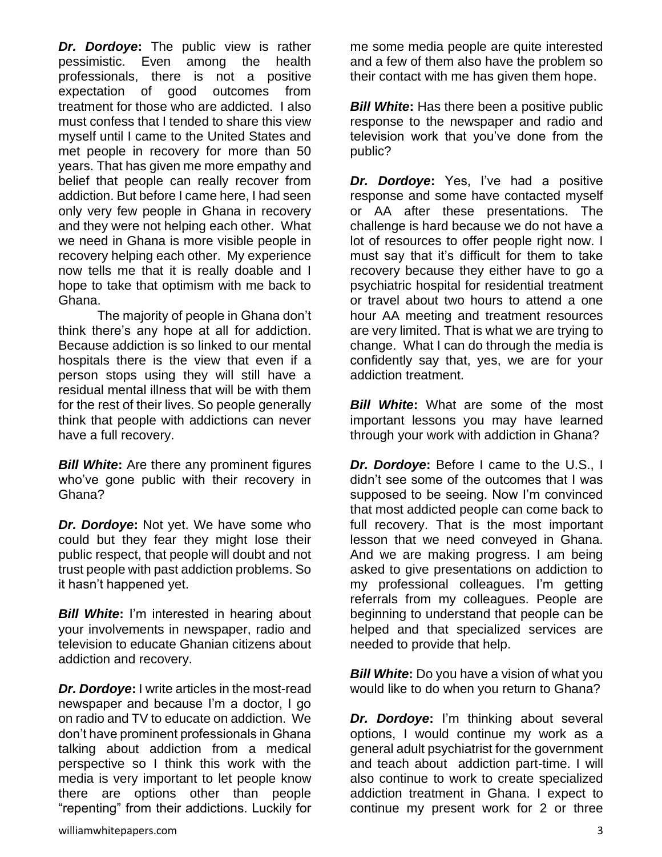*Dr. Dordoye***:** The public view is rather pessimistic. Even among the health professionals, there is not a positive expectation of good outcomes from treatment for those who are addicted. I also must confess that I tended to share this view myself until I came to the United States and met people in recovery for more than 50 years. That has given me more empathy and belief that people can really recover from addiction. But before I came here, I had seen only very few people in Ghana in recovery and they were not helping each other. What we need in Ghana is more visible people in recovery helping each other. My experience now tells me that it is really doable and I hope to take that optimism with me back to Ghana.

The majority of people in Ghana don't think there's any hope at all for addiction. Because addiction is so linked to our mental hospitals there is the view that even if a person stops using they will still have a residual mental illness that will be with them for the rest of their lives. So people generally think that people with addictions can never have a full recovery.

*Bill White***:** Are there any prominent figures who've gone public with their recovery in Ghana?

*Dr. Dordoye***:** Not yet. We have some who could but they fear they might lose their public respect, that people will doubt and not trust people with past addiction problems. So it hasn't happened yet.

*Bill White***:** I'm interested in hearing about your involvements in newspaper, radio and television to educate Ghanian citizens about addiction and recovery.

*Dr. Dordoye***:** I write articles in the most-read newspaper and because I'm a doctor, I go on radio and TV to educate on addiction. We don't have prominent professionals in Ghana talking about addiction from a medical perspective so I think this work with the media is very important to let people know there are options other than people "repenting" from their addictions. Luckily for

me some media people are quite interested and a few of them also have the problem so their contact with me has given them hope.

**Bill White:** Has there been a positive public response to the newspaper and radio and television work that you've done from the public?

*Dr. Dordoye***:** Yes, I've had a positive response and some have contacted myself or AA after these presentations. The challenge is hard because we do not have a lot of resources to offer people right now. I must say that it's difficult for them to take recovery because they either have to go a psychiatric hospital for residential treatment or travel about two hours to attend a one hour AA meeting and treatment resources are very limited. That is what we are trying to change. What I can do through the media is confidently say that, yes, we are for your addiction treatment.

*Bill White***:** What are some of the most important lessons you may have learned through your work with addiction in Ghana?

*Dr. Dordoye***:** Before I came to the U.S., I didn't see some of the outcomes that I was supposed to be seeing. Now I'm convinced that most addicted people can come back to full recovery. That is the most important lesson that we need conveyed in Ghana. And we are making progress. I am being asked to give presentations on addiction to my professional colleagues. I'm getting referrals from my colleagues. People are beginning to understand that people can be helped and that specialized services are needed to provide that help.

*Bill White***:** Do you have a vision of what you would like to do when you return to Ghana?

*Dr. Dordoye***:** I'm thinking about several options, I would continue my work as a general adult psychiatrist for the government and teach about addiction part-time. I will also continue to work to create specialized addiction treatment in Ghana. I expect to continue my present work for 2 or three